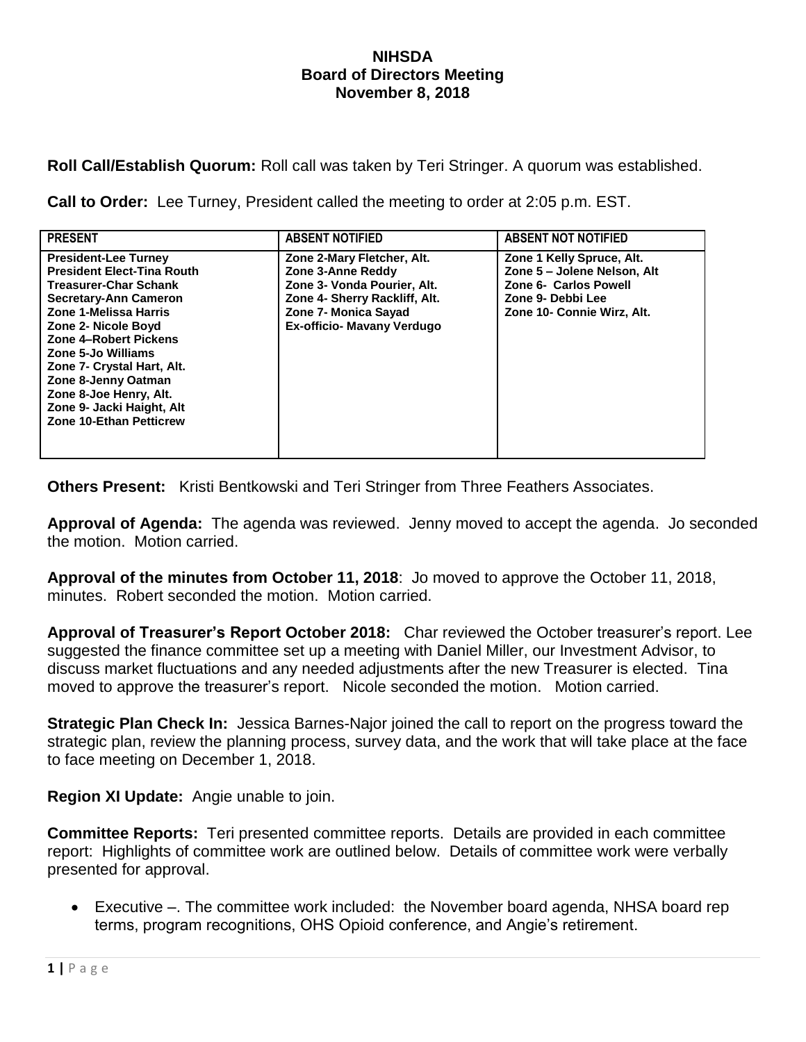## **NIHSDA Board of Directors Meeting November 8, 2018**

**Roll Call/Establish Quorum:** Roll call was taken by Teri Stringer. A quorum was established.

**Call to Order:** Lee Turney, President called the meeting to order at 2:05 p.m. EST.

| <b>PRESENT</b>                                                                                                                                                                                                                                                                                                                                                                | <b>ABSENT NOTIFIED</b>                                                                                                                                                       | <b>ABSENT NOT NOTIFIED</b>                                                                                                           |
|-------------------------------------------------------------------------------------------------------------------------------------------------------------------------------------------------------------------------------------------------------------------------------------------------------------------------------------------------------------------------------|------------------------------------------------------------------------------------------------------------------------------------------------------------------------------|--------------------------------------------------------------------------------------------------------------------------------------|
| <b>President-Lee Turney</b><br><b>President Elect-Tina Routh</b><br><b>Treasurer-Char Schank</b><br><b>Secretary-Ann Cameron</b><br>Zone 1-Melissa Harris<br>Zone 2- Nicole Boyd<br>Zone 4-Robert Pickens<br>Zone 5-Jo Williams<br>Zone 7- Crystal Hart, Alt.<br>Zone 8-Jenny Oatman<br>Zone 8-Joe Henry, Alt.<br>Zone 9- Jacki Haight, Alt<br><b>Zone 10-Ethan Petticrew</b> | Zone 2-Mary Fletcher, Alt.<br>Zone 3-Anne Reddy<br>Zone 3- Vonda Pourier, Alt.<br>Zone 4- Sherry Rackliff, Alt.<br>Zone 7- Monica Sayad<br><b>Ex-officio- Mavany Verdugo</b> | Zone 1 Kelly Spruce, Alt.<br>Zone 5 - Jolene Nelson, Alt<br>Zone 6- Carlos Powell<br>Zone 9- Debbi Lee<br>Zone 10- Connie Wirz, Alt. |

**Others Present:** Kristi Bentkowski and Teri Stringer from Three Feathers Associates.

**Approval of Agenda:** The agenda was reviewed. Jenny moved to accept the agenda. Jo seconded the motion. Motion carried.

**Approval of the minutes from October 11, 2018**: Jo moved to approve the October 11, 2018, minutes. Robert seconded the motion. Motion carried.

**Approval of Treasurer's Report October 2018:** Char reviewed the October treasurer's report. Lee suggested the finance committee set up a meeting with Daniel Miller, our Investment Advisor, to discuss market fluctuations and any needed adjustments after the new Treasurer is elected. Tina moved to approve the treasurer's report. Nicole seconded the motion. Motion carried.

**Strategic Plan Check In:** Jessica Barnes-Najor joined the call to report on the progress toward the strategic plan, review the planning process, survey data, and the work that will take place at the face to face meeting on December 1, 2018.

**Region XI Update:** Angie unable to join.

**Committee Reports:** Teri presented committee reports. Details are provided in each committee report: Highlights of committee work are outlined below. Details of committee work were verbally presented for approval.

 Executive –. The committee work included: the November board agenda, NHSA board rep terms, program recognitions, OHS Opioid conference, and Angie's retirement.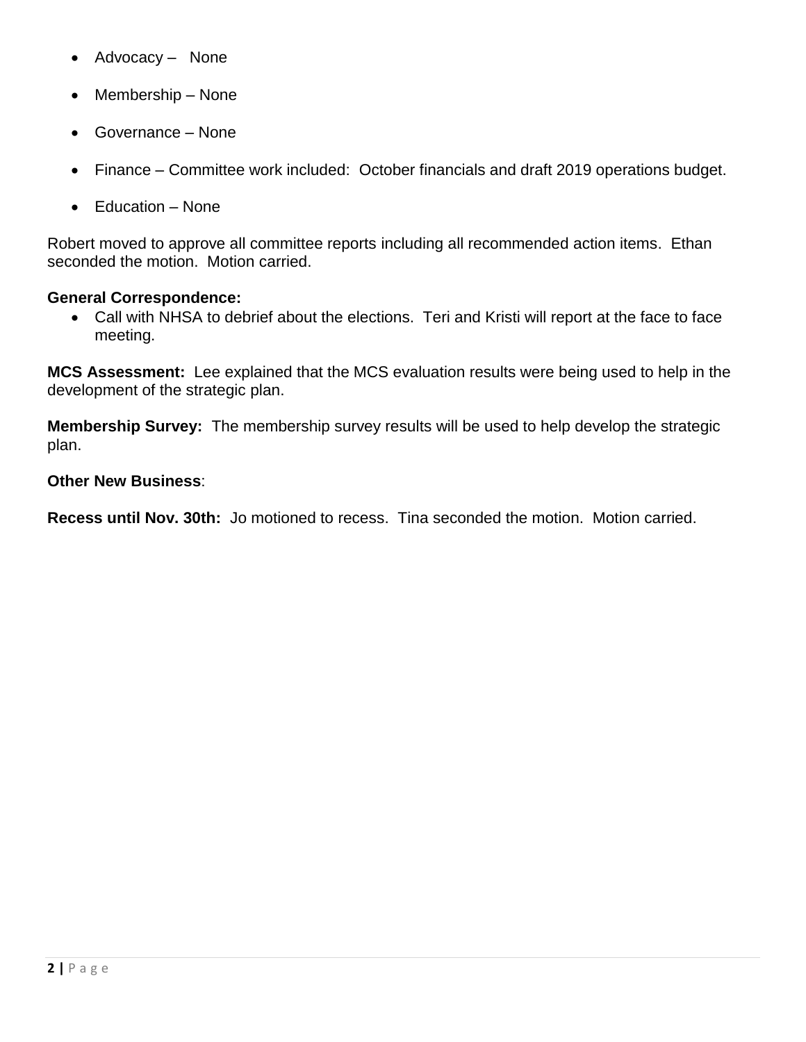- Advocacy None
- Membership None
- Governance None
- Finance Committee work included: October financials and draft 2019 operations budget.
- Education None

Robert moved to approve all committee reports including all recommended action items. Ethan seconded the motion. Motion carried.

## **General Correspondence:**

 Call with NHSA to debrief about the elections. Teri and Kristi will report at the face to face meeting.

**MCS Assessment:** Lee explained that the MCS evaluation results were being used to help in the development of the strategic plan.

**Membership Survey:** The membership survey results will be used to help develop the strategic plan.

## **Other New Business**:

**Recess until Nov. 30th:** Jo motioned to recess. Tina seconded the motion. Motion carried.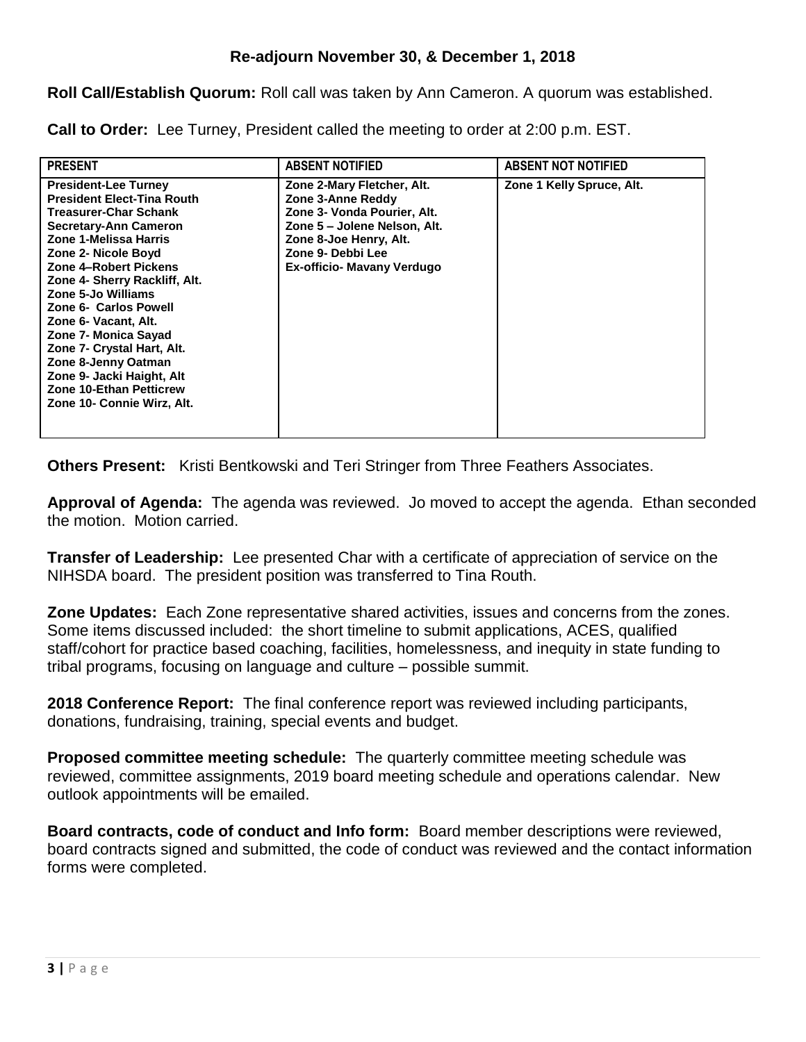**Roll Call/Establish Quorum:** Roll call was taken by Ann Cameron. A quorum was established.

**Call to Order:** Lee Turney, President called the meeting to order at 2:00 p.m. EST.

| <b>PRESENT</b>                                                                                                                                                                                                                                                                                                                                                                                                                                                                | <b>ABSENT NOTIFIED</b>                                                                                                                                                                      | <b>ABSENT NOT NOTIFIED</b> |
|-------------------------------------------------------------------------------------------------------------------------------------------------------------------------------------------------------------------------------------------------------------------------------------------------------------------------------------------------------------------------------------------------------------------------------------------------------------------------------|---------------------------------------------------------------------------------------------------------------------------------------------------------------------------------------------|----------------------------|
| <b>President-Lee Turney</b><br><b>President Elect-Tina Routh</b><br>Treasurer-Char Schank<br>Secretary-Ann Cameron<br>Zone 1-Melissa Harris<br>Zone 2- Nicole Boyd<br>Zone 4-Robert Pickens<br>Zone 4- Sherry Rackliff, Alt.<br>Zone 5-Jo Williams<br>Zone 6- Carlos Powell<br>Zone 6- Vacant, Alt.<br>Zone 7- Monica Sayad<br>Zone 7- Crystal Hart, Alt.<br>Zone 8-Jenny Oatman<br>Zone 9- Jacki Haight, Alt<br><b>Zone 10-Ethan Petticrew</b><br>Zone 10- Connie Wirz, Alt. | Zone 2-Mary Fletcher, Alt.<br>Zone 3-Anne Reddy<br>Zone 3- Vonda Pourier, Alt.<br>Zone 5 - Jolene Nelson, Alt.<br>Zone 8-Joe Henry, Alt.<br>Zone 9- Debbi Lee<br>Ex-officio- Mavany Verdugo | Zone 1 Kelly Spruce, Alt.  |

**Others Present:** Kristi Bentkowski and Teri Stringer from Three Feathers Associates.

**Approval of Agenda:** The agenda was reviewed. Jo moved to accept the agenda. Ethan seconded the motion. Motion carried.

**Transfer of Leadership:** Lee presented Char with a certificate of appreciation of service on the NIHSDA board. The president position was transferred to Tina Routh.

**Zone Updates:** Each Zone representative shared activities, issues and concerns from the zones. Some items discussed included: the short timeline to submit applications, ACES, qualified staff/cohort for practice based coaching, facilities, homelessness, and inequity in state funding to tribal programs, focusing on language and culture – possible summit.

**2018 Conference Report:** The final conference report was reviewed including participants, donations, fundraising, training, special events and budget.

**Proposed committee meeting schedule:** The quarterly committee meeting schedule was reviewed, committee assignments, 2019 board meeting schedule and operations calendar. New outlook appointments will be emailed.

**Board contracts, code of conduct and Info form:** Board member descriptions were reviewed, board contracts signed and submitted, the code of conduct was reviewed and the contact information forms were completed.